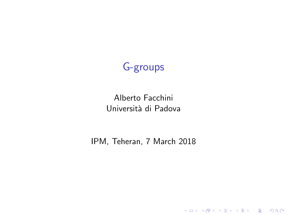# G-groups

#### Alberto Facchini Università di Padova

IPM, Teheran, 7 March 2018

K ロ ▶ K @ ▶ K 할 ▶ K 할 ▶ | 할 | ⊙Q @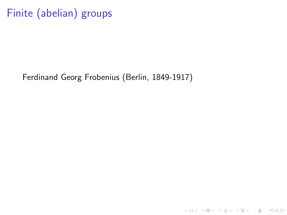Finite (abelian) groups

Ferdinand Georg Frobenius (Berlin, 1849-1917)

KO KKOK KEK KEK LE YORO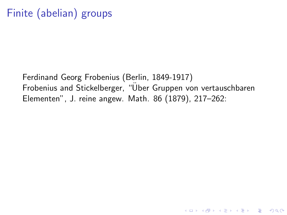# Finite (abelian) groups

Ferdinand Georg Frobenius (Berlin, 1849-1917) Frobenius and Stickelberger, "Uber Gruppen von vertauschbaren Elementen", J. reine angew. Math. 86 (1879), 217–262:

**K ロ ▶ K 個 ▶ K 필 K K 필 K 및 필 시 이 이 이 이**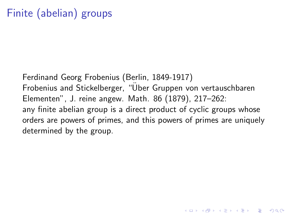# Finite (abelian) groups

Ferdinand Georg Frobenius (Berlin, 1849-1917) Frobenius and Stickelberger, "Uber Gruppen von vertauschbaren ¨ Elementen", J. reine angew. Math. 86 (1879), 217–262: any finite abelian group is a direct product of cyclic groups whose orders are powers of primes, and this powers of primes are uniquely determined by the group.

4 D > 4 P + 4 B + 4 B + B + 9 Q O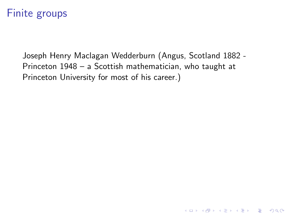Joseph Henry Maclagan Wedderburn (Angus, Scotland 1882 - Princeton 1948 – a Scottish mathematician, who taught at Princeton University for most of his career.)

K ロ ▶ K @ ▶ K 할 > K 할 > 1 할 > 1 이익어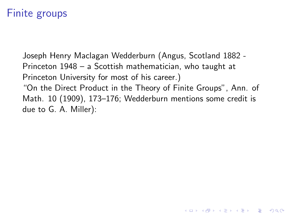Joseph Henry Maclagan Wedderburn (Angus, Scotland 1882 - Princeton 1948 – a Scottish mathematician, who taught at Princeton University for most of his career.) "On the Direct Product in the Theory of Finite Groups", Ann. of

Math. 10 (1909), 173–176; Wedderburn mentions some credit is due to G. A. Miller):

4 D > 4 P + 4 B + 4 B + B + 9 Q O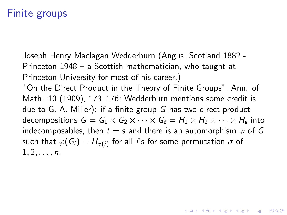Joseph Henry Maclagan Wedderburn (Angus, Scotland 1882 - Princeton 1948 – a Scottish mathematician, who taught at Princeton University for most of his career.) "On the Direct Product in the Theory of Finite Groups", Ann. of Math. 10 (1909), 173–176; Wedderburn mentions some credit is due to G. A. Miller): if a finite group G has two direct-product decompositions  $\mathsf{G} = \mathsf{G}_1 \times \mathsf{G}_2 \times \cdots \times \mathsf{G}_t = \mathsf{H}_1 \times \mathsf{H}_2 \times \cdots \times \mathsf{H}_s$  into indecomposables, then  $t = s$  and there is an automorphism  $\varphi$  of G such that  $\varphi(\mathit{G_{i}}) = H_{\sigma(i)}$  for all  $i$ 's for some permutation  $\sigma$  of  $1, 2, \ldots, n$ .

**KORKAR KERKER EL VOLO**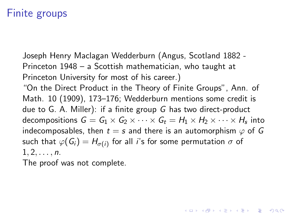Joseph Henry Maclagan Wedderburn (Angus, Scotland 1882 - Princeton 1948 – a Scottish mathematician, who taught at Princeton University for most of his career.)

"On the Direct Product in the Theory of Finite Groups", Ann. of Math. 10 (1909), 173–176; Wedderburn mentions some credit is due to G. A. Miller): if a finite group G has two direct-product decompositions  $\mathsf{G} = \mathsf{G}_1 \times \mathsf{G}_2 \times \cdots \times \mathsf{G}_t = \mathsf{H}_1 \times \mathsf{H}_2 \times \cdots \times \mathsf{H}_s$  into indecomposables, then  $t = s$  and there is an automorphism  $\varphi$  of G such that  $\varphi(\mathit{G_{i}}) = H_{\sigma(i)}$  for all  $i$ 's for some permutation  $\sigma$  of  $1, 2, \ldots, n$ .

**AD A 4 4 4 5 A 5 A 5 A 4 D A 4 D A 4 P A 4 5 A 4 5 A 5 A 4 A 4 A 4 A** 

The proof was not complete.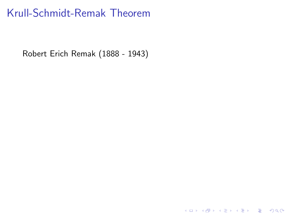# Krull-Schmidt-Remak Theorem

Robert Erich Remak (1888 - 1943)

K ロ ▶ K @ ▶ K 할 ▶ K 할 ▶ | 할 | ⊙Q @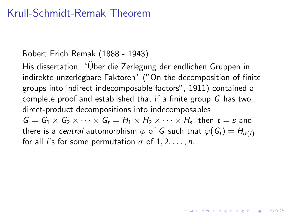### Krull-Schmidt-Remak Theorem

#### Robert Erich Remak (1888 - 1943)

His dissertation, "Über die Zerlegung der endlichen Gruppen in indirekte unzerlegbare Faktoren" ("On the decomposition of finite groups into indirect indecomposable factors", 1911) contained a complete proof and established that if a finite group G has two direct-product decompositions into indecomposables  $G = G_1 \times G_2 \times \cdots \times G_t = H_1 \times H_2 \times \cdots \times H_s$ , then  $t = s$  and there is a central automorphism  $\varphi$  of G such that  $\varphi(G_i) = H_{\sigma(i)}$ for all *i*'s for some permutation  $\sigma$  of  $1, 2, \ldots, n$ .

**KORKAR KERKER EL VOLO**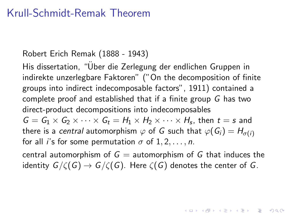### Krull-Schmidt-Remak Theorem

#### Robert Erich Remak (1888 - 1943)

His dissertation, "Über die Zerlegung der endlichen Gruppen in indirekte unzerlegbare Faktoren" ("On the decomposition of finite groups into indirect indecomposable factors", 1911) contained a complete proof and established that if a finite group G has two direct-product decompositions into indecomposables  $G = G_1 \times G_2 \times \cdots \times G_t = H_1 \times H_2 \times \cdots \times H_s$ , then  $t = s$  and there is a central automorphism  $\varphi$  of G such that  $\varphi(G_i) = H_{\sigma(i)}$ for all *i*'s for some permutation  $\sigma$  of 1, 2, ..., *n*.

central automorphism of  $G =$  automorphism of G that induces the identity  $G/\zeta(G) \to G/\zeta(G)$ . Here  $\zeta(G)$  denotes the center of G.

**KORKAR KERKER EL VOLO**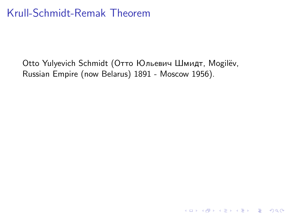Otto Yulyevich Schmidt (Отто Юльевич Шмидт, Mogilëv, Russian Empire (now Belarus) 1891 - Moscow 1956).

**K ロ ▶ K 個 ▶ K 필 K K 필 K 및 필 시 이 이 이 이**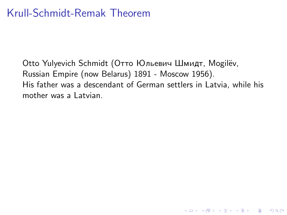Otto Yulyevich Schmidt (Отто Юльевич Шмидт, Mogilёv, Russian Empire (now Belarus) 1891 - Moscow 1956). His father was a descendant of German settlers in Latvia, while his mother was a Latvian.

K ロ ▶ K @ ▶ K 할 > K 할 > 1 할 > 1 이익어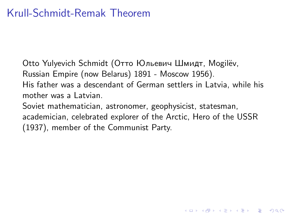Otto Yulyevich Schmidt (Отто Юльевич Шмидт, Mogilёv, Russian Empire (now Belarus) 1891 - Moscow 1956). His father was a descendant of German settlers in Latvia, while his mother was a Latvian. Soviet mathematician, astronomer, geophysicist, statesman,

academician, celebrated explorer of the Arctic, Hero of the USSR (1937), member of the Communist Party.

4 D > 4 P + 4 B + 4 B + B + 9 Q O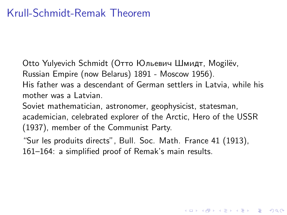Otto Yulyevich Schmidt (Отто Юльевич Шмидт, Mogilёv,

Russian Empire (now Belarus) 1891 - Moscow 1956).

His father was a descendant of German settlers in Latvia, while his mother was a Latvian.

Soviet mathematician, astronomer, geophysicist, statesman, academician, celebrated explorer of the Arctic, Hero of the USSR (1937), member of the Communist Party.

"Sur les produits directs", Bull. Soc. Math. France 41 (1913), 161–164: a simplified proof of Remak's main results.

4 D > 4 P + 4 B + 4 B + B + 9 Q O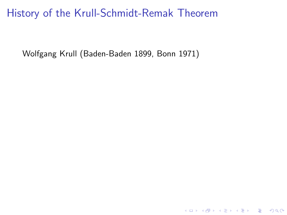Wolfgang Krull (Baden-Baden 1899, Bonn 1971)

K ロ ▶ K @ ▶ K 할 ▶ K 할 ▶ | 할 | ⊙Q @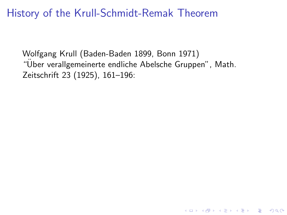Wolfgang Krull (Baden-Baden 1899, Bonn 1971) "Uber verallgemeinerte endliche Abelsche Gruppen", Math. ¨ Zeitschrift 23 (1925), 161–196:

**K ロ ▶ K @ ▶ K 할 X X 할 X 및 할 X X Q Q O \***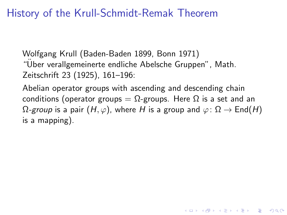Wolfgang Krull (Baden-Baden 1899, Bonn 1971) "Uber verallgemeinerte endliche Abelsche Gruppen", Math. ¨ Zeitschrift 23 (1925), 161–196:

Abelian operator groups with ascending and descending chain conditions (operator groups =  $\Omega$ -groups. Here  $\Omega$  is a set and an  $\Omega$ -group is a pair  $(H, \varphi)$ , where H is a group and  $\varphi \colon \Omega \to \text{End}(H)$ is a mapping).

4 D > 4 P + 4 B + 4 B + B + 9 Q O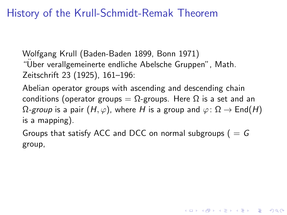Wolfgang Krull (Baden-Baden 1899, Bonn 1971) "Uber verallgemeinerte endliche Abelsche Gruppen", Math. ¨ Zeitschrift 23 (1925), 161–196:

Abelian operator groups with ascending and descending chain conditions (operator groups =  $\Omega$ -groups. Here  $\Omega$  is a set and an  $\Omega$ -group is a pair  $(H, \varphi)$ , where H is a group and  $\varphi \colon \Omega \to \text{End}(H)$ is a mapping).

Groups that satisfy ACC and DCC on normal subgroups ( $= G$ group,

KID KA KERKER KID KO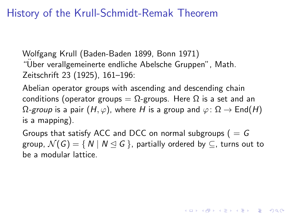Wolfgang Krull (Baden-Baden 1899, Bonn 1971) "Uber verallgemeinerte endliche Abelsche Gruppen", Math. ¨ Zeitschrift 23 (1925), 161–196:

Abelian operator groups with ascending and descending chain conditions (operator groups =  $\Omega$ -groups. Here  $\Omega$  is a set and an  $\Omega$ -group is a pair  $(H, \varphi)$ , where H is a group and  $\varphi \colon \Omega \to \text{End}(H)$ is a mapping).

Groups that satisfy ACC and DCC on normal subgroups ( $= G$ group,  $\mathcal{N}(G) = \{ N \mid N \leq G \}$ , partially ordered by  $\subseteq$ , turns out to be a modular lattice.

**KORKAR KERKER EL VOLO**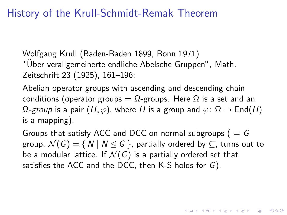Wolfgang Krull (Baden-Baden 1899, Bonn 1971) "Uber verallgemeinerte endliche Abelsche Gruppen", Math. ¨ Zeitschrift 23 (1925), 161–196:

Abelian operator groups with ascending and descending chain conditions (operator groups =  $\Omega$ -groups. Here  $\Omega$  is a set and an  $\Omega$ -group is a pair  $(H, \varphi)$ , where H is a group and  $\varphi \colon \Omega \to \text{End}(H)$ is a mapping).

Groups that satisfy ACC and DCC on normal subgroups ( $= G$ group,  $\mathcal{N}(G) = \{ N \mid N \leq G \}$ , partially ordered by  $\subseteq$ , turns out to be a modular lattice. If  $\mathcal{N}(G)$  is a partially ordered set that satisfies the ACC and the DCC, then K-S holds for G).

**AD A 4 4 4 5 A 5 A 5 A 4 D A 4 D A 4 P A 4 5 A 4 5 A 5 A 4 A 4 A 4 A**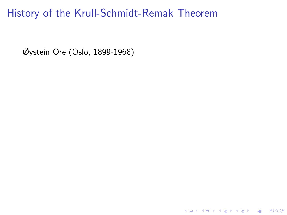K ロ ▶ K @ ▶ K 할 ▶ K 할 ▶ | 할 | ⊙Q @

Øystein Ore (Oslo, 1899-1968)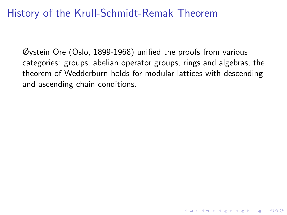Øystein Ore (Oslo, 1899-1968) unified the proofs from various categories: groups, abelian operator groups, rings and algebras, the theorem of Wedderburn holds for modular lattices with descending and ascending chain conditions.

K ロ ▶ K @ ▶ K 할 > K 할 > 1 할 > 1 이익어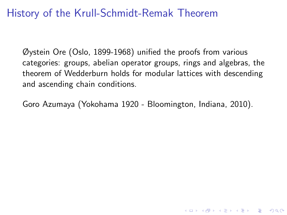Øystein Ore (Oslo, 1899-1968) unified the proofs from various categories: groups, abelian operator groups, rings and algebras, the theorem of Wedderburn holds for modular lattices with descending and ascending chain conditions.

Goro Azumaya (Yokohama 1920 - Bloomington, Indiana, 2010).

4 D > 4 P + 4 B + 4 B + B + 9 Q O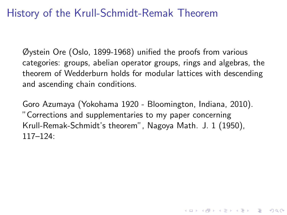Øystein Ore (Oslo, 1899-1968) unified the proofs from various categories: groups, abelian operator groups, rings and algebras, the theorem of Wedderburn holds for modular lattices with descending and ascending chain conditions.

Goro Azumaya (Yokohama 1920 - Bloomington, Indiana, 2010). "Corrections and supplementaries to my paper concerning Krull-Remak-Schmidt's theorem", Nagoya Math. J. 1 (1950), 117–124:

4 D > 4 P + 4 B + 4 B + B + 9 Q O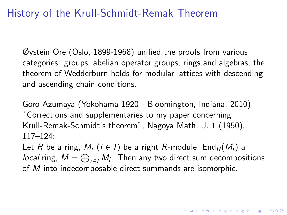Øystein Ore (Oslo, 1899-1968) unified the proofs from various categories: groups, abelian operator groups, rings and algebras, the theorem of Wedderburn holds for modular lattices with descending and ascending chain conditions.

Goro Azumaya (Yokohama 1920 - Bloomington, Indiana, 2010). "Corrections and supplementaries to my paper concerning Krull-Remak-Schmidt's theorem", Nagoya Math. J. 1 (1950), 117–124:

Let R be a ring,  $M_i$  ( $i \in I$ ) be a right R-module,  $\text{End}_R(M_i)$  a *local* ring,  $M = \bigoplus_{i \in I} M_i$ . Then any two direct sum decompositions of M into indecomposable direct summands are isomorphic.

**KORK (FRAGE) EL POLO**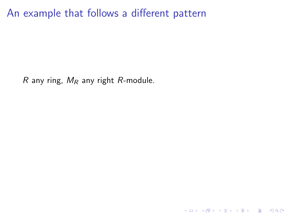K ロ ▶ K @ ▶ K 할 ▶ K 할 ▶ | 할 | ⊙Q @

R any ring,  $M_R$  any right R-module.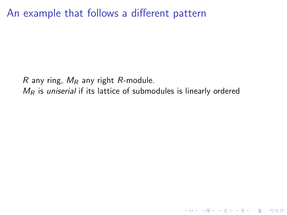R any ring,  $M_R$  any right R-module.  $M_R$  is uniserial if its lattice of submodules is linearly ordered

K ロ ▶ K @ ▶ K 할 ▶ K 할 ▶ | 할 | © 9 Q @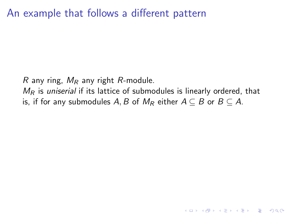R any ring,  $M_R$  any right R-module.  $M_R$  is uniserial if its lattice of submodules is linearly ordered, that is, if for any submodules A, B of  $M_R$  either  $A \subseteq B$  or  $B \subseteq A$ .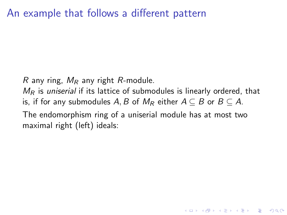R any ring,  $M_R$  any right R-module.

 $M_R$  is uniserial if its lattice of submodules is linearly ordered, that is, if for any submodules A, B of  $M_R$  either  $A \subseteq B$  or  $B \subseteq A$ .

K ロ ▶ K @ ▶ K 할 > K 할 > 1 할 > 1 이익어

The endomorphism ring of a uniserial module has at most two maximal right (left) ideals: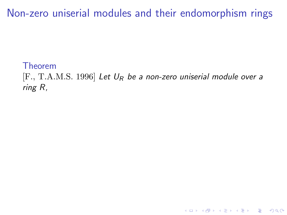Theorem

 $[F., T.A.M.S. 1996]$  Let  $U_R$  be a non-zero uniserial module over a ring R,

K ロ ▶ K @ ▶ K 할 ▶ K 할 ▶ | 할 | © 9 Q @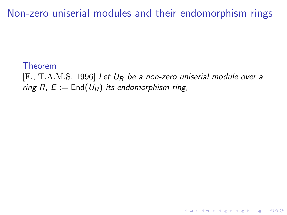#### Theorem

 $[F., T.A.M.S. 1996]$  Let  $U_R$  be a non-zero uniserial module over a ring R,  $E :=$  End( $U_R$ ) its endomorphism ring,

**KORK STRATER STRAKER**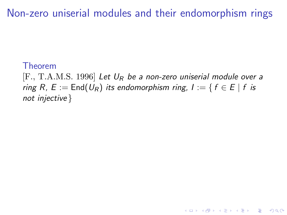#### Theorem

 $[F., T.A.M.S. 1996]$  Let  $U_R$  be a non-zero uniserial module over a ring R,  $E := \text{End}(U_R)$  its endomorphism ring,  $I := \{ f \in E \mid f \text{ is }$ not injective }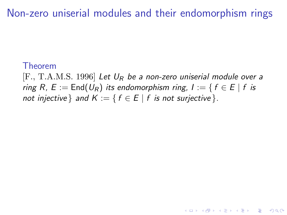#### Theorem

 $[F., T.A.M.S. 1996]$  Let  $U_R$  be a non-zero uniserial module over a ring R,  $E := \text{End}(U_R)$  its endomorphism ring,  $I := \{ f \in E \mid f \text{ is }$ not injective } and  $K := \{ f \in E \mid f$  is not surjective  $\}.$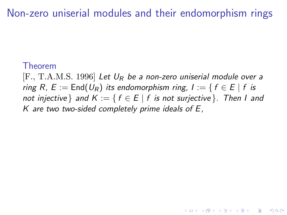#### Theorem

[F., T.A.M.S. 1996] Let  $U_R$  be a non-zero uniserial module over a ring R,  $E := \text{End}(U_R)$  its endomorphism ring,  $I := \{ f \in E \mid f \text{ is }$ not injective } and  $K := \{ f \in E \mid f \text{ is not surjective } \}.$  Then I and K are two two-sided completely prime ideals of  $E$ ,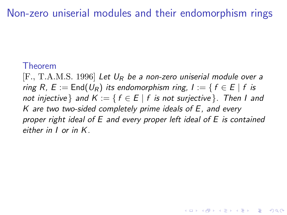#### Theorem

 $[F., T.A.M.S. 1996]$  Let  $U_R$  be a non-zero uniserial module over a ring R,  $E := \text{End}(U_R)$  its endomorphism ring,  $I := \{ f \in E \mid f \text{ is }$ not injective } and  $K := \{ f \in E \mid f \text{ is not surjective } \}.$  Then I and  $K$  are two two-sided completely prime ideals of  $E$ , and every proper right ideal of E and every proper left ideal of E is contained either in I or in K.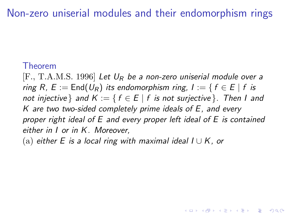Non-zero uniserial modules and their endomorphism rings

#### Theorem

 $[F., T.A.M.S. 1996]$  Let  $U_R$  be a non-zero uniserial module over a ring R,  $E := \text{End}(U_R)$  its endomorphism ring,  $I := \{ f \in E \mid f \text{ is }$ not injective } and  $K := \{ f \in E \mid f \text{ is not surjective } \}.$  Then I and K are two two-sided completely prime ideals of E, and every proper right ideal of E and every proper left ideal of E is contained either in I or in K. Moreover,

**KORKAR KERKER EL VOLO** 

(a) either E is a local ring with maximal ideal  $I \cup K$ , or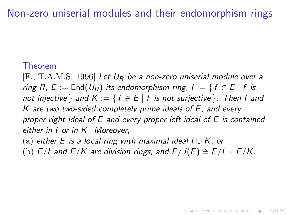Non-zero uniserial modules and their endomorphism rings

#### Theorem

 $[F., T.A.M.S. 1996]$  Let  $U_R$  be a non-zero uniserial module over a ring R,  $E := \text{End}(U_R)$  its endomorphism ring,  $I := \{ f \in E \mid f \text{ is }$ not injective } and  $K := \{ f \in E \mid f \text{ is not surjective } \}.$  Then I and K are two two-sided completely prime ideals of E, and every proper right ideal of E and every proper left ideal of E is contained either in I or in K. Moreover,

- (a) either E is a local ring with maximal ideal  $I \cup K$ , or
- (b)  $E/I$  and  $E/K$  are division rings, and  $E/J(E) \cong E/I \times E/K$ .

**KORKAR KERKER EL VOLO**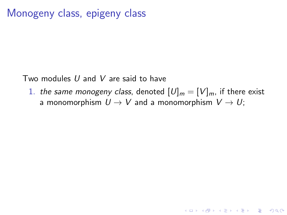## Monogeny class, epigeny class

Two modules  $U$  and  $V$  are said to have

1. the same monogeny class, denoted  $[U]_m = [V]_m$ , if there exist a monomorphism  $U \rightarrow V$  and a monomorphism  $V \rightarrow U$ ;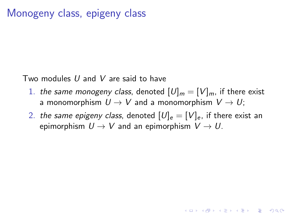## Monogeny class, epigeny class

Two modules  $U$  and  $V$  are said to have

- 1. the same monogeny class, denoted  $[U]_m = [V]_m$ , if there exist a monomorphism  $U \rightarrow V$  and a monomorphism  $V \rightarrow U$ ;
- 2. the same epigeny class, denoted  $[U]_e = [V]_e$ , if there exist an epimorphism  $U \rightarrow V$  and an epimorphism  $V \rightarrow U$ .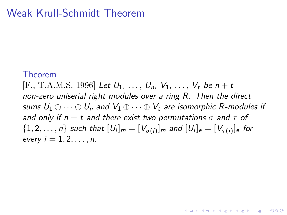## Weak Krull-Schmidt Theorem

#### Theorem

[F., T.A.M.S. 1996] Let  $U_1, \ldots, U_n, V_1, \ldots, V_t$  be  $n + t$ non-zero uniserial right modules over a ring R. Then the direct sums  $U_1 \oplus \cdots \oplus U_n$  and  $V_1 \oplus \cdots \oplus V_t$  are isomorphic R-modules if and only if  $n = t$  and there exist two permutations  $\sigma$  and  $\tau$  of  $\{1,2,\ldots,n\}$  such that  $[U_i]_m=[V_{\sigma(i)}]_m$  and  $[U_i]_e=[V_{\tau(i)}]_e$  for every  $i = 1, 2, \ldots, n$ .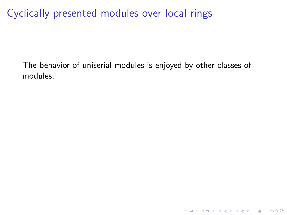The behavior of uniserial modules is enjoyed by other classes of modules.

K ロ ▶ K @ ▶ K 할 ▶ K 할 ▶ | 할 | © 9 Q @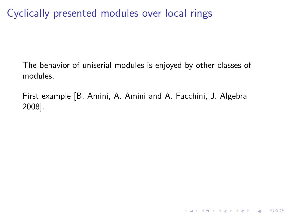The behavior of uniserial modules is enjoyed by other classes of modules.

First example [B. Amini, A. Amini and A. Facchini, J. Algebra 2008].

**K ロ ▶ K @ ▶ K 할 X X 할 X → 할 X → 9 Q Q ^**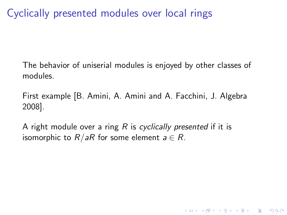The behavior of uniserial modules is enjoyed by other classes of modules.

First example [B. Amini, A. Amini and A. Facchini, J. Algebra 2008].

**K ロ ▶ K @ ▶ K 할 X X 할 X → 할 X → 9 Q Q ^** 

A right module over a ring  $R$  is cyclically presented if it is isomorphic to  $R/aR$  for some element  $a \in R$ .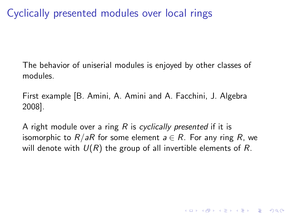The behavior of uniserial modules is enjoyed by other classes of modules.

First example [B. Amini, A. Amini and A. Facchini, J. Algebra 2008].

A right module over a ring  $R$  is cyclically presented if it is isomorphic to  $R/aR$  for some element  $a \in R$ . For any ring R, we will denote with  $U(R)$  the group of all invertible elements of R.

4 D > 4 P + 4 B + 4 B + B + 9 Q O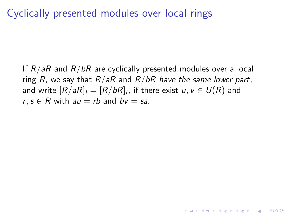If  $R/aR$  and  $R/bR$  are cyclically presented modules over a local ring R, we say that  $R/aR$  and  $R/bR$  have the same lower part, and write  $[R/aR]_{\mathit{l}}=[R/bR]_{\mathit{l}}$ , if there exist  $u,v\in\mathit{U}(R)$  and  $r, s \in R$  with  $au = rb$  and  $bv = sa$ .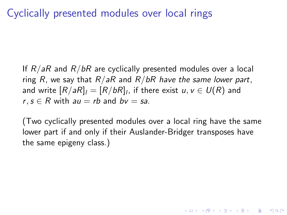If  $R/aR$  and  $R/bR$  are cyclically presented modules over a local ring R, we say that  $R/aR$  and  $R/bR$  have the same lower part, and write  $[R/aR]_{\mathit{l}}=[R/bR]_{\mathit{l}}$ , if there exist  $u,v\in\mathit{U}(R)$  and  $r, s \in R$  with  $au = rb$  and  $bv = sa$ .

(Two cyclically presented modules over a local ring have the same lower part if and only if their Auslander-Bridger transposes have the same epigeny class.)

4 D > 4 P + 4 B + 4 B + B + 9 Q O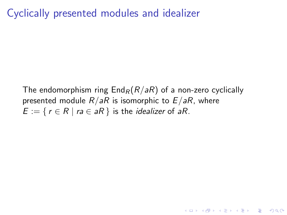Cyclically presented modules and idealizer

The endomorphism ring  $\text{End}_R(R/aR)$  of a non-zero cyclically presented module  $R/aR$  is isomorphic to  $E/aR$ , where  $E := \{ r \in R \mid ra \in aR \}$  is the *idealizer* of aR.

**K ロ ▶ K @ ▶ K 할 X X 할 X → 할 X → 9 Q Q ^**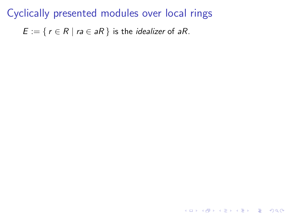$E := \{ r \in R \mid ra \in aR \}$  is the *idealizer* of aR.

**K ロ ▶ K @ ▶ K 할 X X 할 X 및 할 X X Q Q O \***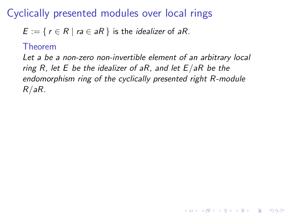$E := \{ r \in R \mid ra \in aR \}$  is the *idealizer* of aR.

#### Theorem

Let a be a non-zero non-invertible element of an arbitrary local ring R, let E be the idealizer of aR, and let  $E/aR$  be the endomorphism ring of the cyclically presented right R-module R/aR.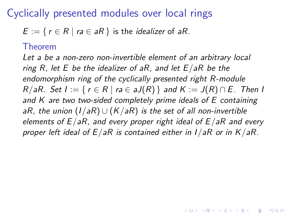$E := \{ r \in R \mid ra \in aR \}$  is the *idealizer* of aR.

#### Theorem

Let a be a non-zero non-invertible element of an arbitrary local ring R, let E be the idealizer of aR, and let  $E/aR$  be the endomorphism ring of the cyclically presented right R-module  $R/aR$ . Set  $I := \{ r \in R \mid ra \in aJ(R) \}$  and  $K := J(R) \cap E$ . Then I and K are two two-sided completely prime ideals of E containing aR, the union  $(I/aR) \cup (K/aR)$  is the set of all non-invertible elements of  $E/aR$ , and every proper right ideal of  $E/aR$  and every proper left ideal of  $E/aR$  is contained either in  $I/aR$  or in  $K/aR$ .

4 D > 4 P + 4 B + 4 B + B + 9 Q O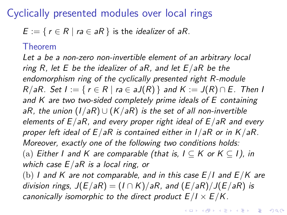$E := \{ r \in R \mid ra \in aR \}$  is the *idealizer* of aR.

#### Theorem

Let a be a non-zero non-invertible element of an arbitrary local ring R, let E be the idealizer of aR, and let  $E/aR$  be the endomorphism ring of the cyclically presented right R-module  $R/aR$ . Set  $I := \{ r \in R \mid ra \in aJ(R) \}$  and  $K := J(R) \cap E$ . Then I and  $K$  are two two-sided completely prime ideals of  $E$  containing aR, the union  $(I/aR) \cup (K/aR)$  is the set of all non-invertible elements of  $E/aR$ , and every proper right ideal of  $E/aR$  and every proper left ideal of  $E/aR$  is contained either in  $I/aR$  or in  $K/aR$ . Moreover, exactly one of the following two conditions holds: (a) Either I and K are comparable (that is,  $I \subseteq K$  or  $K \subseteq I$ ), in which case  $E/aR$  is a local ring, or (b) I and K are not comparable, and in this case  $E/I$  and  $E/K$  are division rings,  $J(E/aR) = (I \cap K)/aR$ , and  $(E/aR)/J(E/aR)$  is canonically isomorphic to the direct product  $E/I \times E/K$ .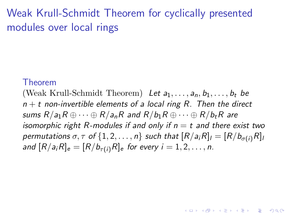# Weak Krull-Schmidt Theorem for cyclically presented modules over local rings

#### Theorem

(Weak Krull-Schmidt Theorem) Let  $a_1, \ldots, a_n, b_1, \ldots, b_t$  be  $n + t$  non-invertible elements of a local ring R. Then the direct sums  $R/a_1R \oplus \cdots \oplus R/a_nR$  and  $R/b_1R \oplus \cdots \oplus R/b_rR$  are isomorphic right R-modules if and only if  $n = t$  and there exist two permutations  $\sigma, \tau$  of  $\{1, 2, ..., n\}$  such that  $[R/a_iR]_i = [R/b_{\sigma(i)}R]_i$ and  $[R/a_iR]_e = [R/b_{\tau(i)}R]_e$  for every  $i = 1, 2, \ldots, n$ .

**KORKAR KERKER EL VOLO**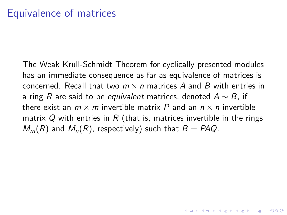The Weak Krull-Schmidt Theorem for cyclically presented modules has an immediate consequence as far as equivalence of matrices is concerned. Recall that two  $m \times n$  matrices A and B with entries in a ring R are said to be equivalent matrices, denoted  $A \sim B$ , if there exist an  $m \times m$  invertible matrix P and an  $n \times n$  invertible matrix Q with entries in R (that is, matrices invertible in the rings  $M_m(R)$  and  $M_n(R)$ , respectively) such that  $B = PAQ$ .

**KORKAR KERKER EL VOLO**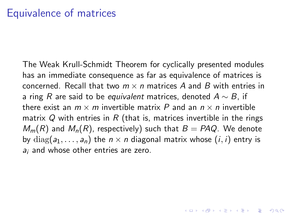The Weak Krull-Schmidt Theorem for cyclically presented modules has an immediate consequence as far as equivalence of matrices is concerned. Recall that two  $m \times n$  matrices A and B with entries in a ring R are said to be equivalent matrices, denoted  $A \sim B$ , if there exist an  $m \times m$  invertible matrix P and an  $n \times n$  invertible matrix Q with entries in R (that is, matrices invertible in the rings  $M_m(R)$  and  $M_n(R)$ , respectively) such that  $B = PAQ$ . We denote by  $diag(a_1, \ldots, a_n)$  the  $n \times n$  diagonal matrix whose  $(i, i)$  entry is  $a_i$  and whose other entries are zero.

**AD A 4 4 4 5 A 5 A 5 A 4 D A 4 D A 4 P A 4 5 A 4 5 A 5 A 4 A 4 A 4 A**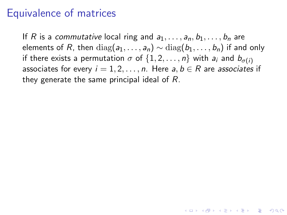## Equivalence of matrices

If R is a commutative local ring and  $a_1, \ldots, a_n, b_1, \ldots, b_n$  are elements of R, then  $diag(a_1, \ldots, a_n) \sim diag(b_1, \ldots, b_n)$  if and only if there exists a permutation  $\sigma$  of  $\{1, 2, \ldots, n\}$  with  $a_i$  and  $b_{\sigma(i)}$ associates for every  $i = 1, 2, ..., n$ . Here  $a, b \in R$  are associates if they generate the same principal ideal of R.

**KORKAR KERKER EL VOLO**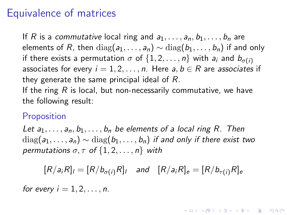## Equivalence of matrices

If R is a commutative local ring and  $a_1, \ldots, a_n, b_1, \ldots, b_n$  are elements of R, then  $diag(a_1, \ldots, a_n) \sim diag(b_1, \ldots, b_n)$  if and only if there exists a permutation  $\sigma$  of  $\{1, 2, \ldots, n\}$  with  $a_i$  and  $b_{\sigma(i)}$ associates for every  $i = 1, 2, ..., n$ . Here  $a, b \in R$  are associates if they generate the same principal ideal of R. If the ring  $R$  is local, but non-necessarily commutative, we have

the following result:

#### Proposition

Let  $a_1, \ldots, a_n, b_1, \ldots, b_n$  be elements of a local ring R. Then  $diag(a_1, \ldots, a_n) \sim diag(b_1, \ldots, b_n)$  if and only if there exist two permutations  $\sigma, \tau$  of  $\{1, 2, \ldots, n\}$  with

$$
[R/a_iR]_i = [R/b_{\sigma(i)}R]_i \quad \text{and} \quad [R/a_iR]_e = [R/b_{\tau(i)}R]_e
$$

4 D > 4 P + 4 B + 4 B + B + 9 Q O

for every  $i = 1, 2, \ldots, n$ .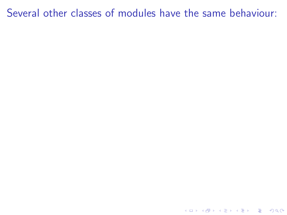**K ロ K イロ K K モ K K モ K エ エ エ イ の Q Q C**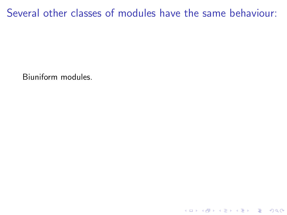Biuniform modules.

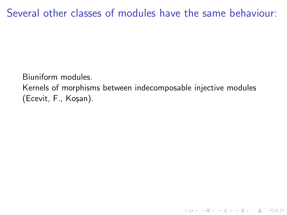Biuniform modules.

Kernels of morphisms between indecomposable injective modules (Ecevit, F., Koşan).

K ロ ▶ K @ ▶ K 할 > K 할 > 1 할 > 1 이익어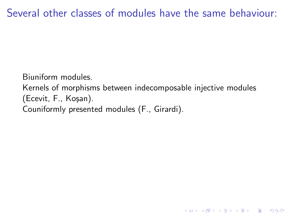Biuniform modules.

Kernels of morphisms between indecomposable injective modules (Ecevit, F., Ko¸san).

K ロ ▶ K @ ▶ K 할 > K 할 > 1 할 > 1 이익어

Couniformly presented modules (F., Girardi).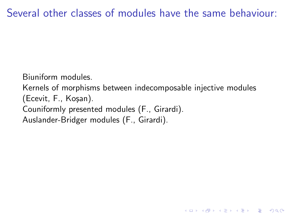Biuniform modules.

Kernels of morphisms between indecomposable injective modules (Ecevit, F., Koşan). Couniformly presented modules (F., Girardi). Auslander-Bridger modules (F., Girardi).

**K ロ ▶ K @ ▶ K 할 X X 할 X → 할 X → 9 Q Q ^**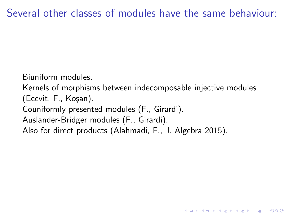Biuniform modules.

Kernels of morphisms between indecomposable injective modules (Ecevit, F., Koşan).

4 D > 4 P + 4 B + 4 B + B + 9 Q O

Couniformly presented modules (F., Girardi).

Auslander-Bridger modules (F., Girardi).

Also for direct products (Alahmadi, F., J. Algebra 2015).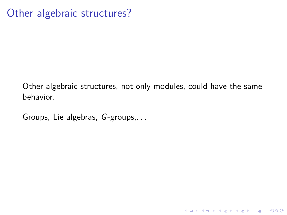Other algebraic structures, not only modules, could have the same behavior.

**K ロ ▶ K @ ▶ K 할 X X 할 X 및 할 X X Q Q O \*** 

Groups, Lie algebras, G-groups,. . .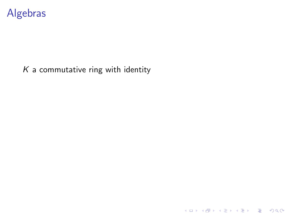

### $K$  a commutative ring with identity

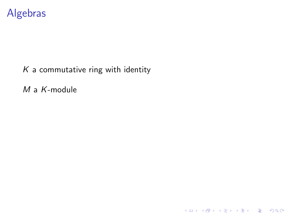## Algebras

### $K$  a commutative ring with identity

M a K-module

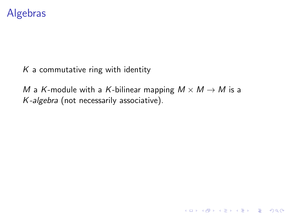### Algebras

 $K$  a commutative ring with identity

M a K-module with a K-bilinear mapping  $M \times M \rightarrow M$  is a K-algebra (not necessarily associative).

K ロ ▶ K @ ▶ K 할 > K 할 > 1 할 > 1 이익어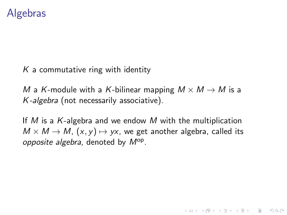### Algebras

 $K$  a commutative ring with identity

M a K-module with a K-bilinear mapping  $M \times M \rightarrow M$  is a K-algebra (not necessarily associative).

If M is a K-algebra and we endow M with the multiplication  $M \times M \rightarrow M$ ,  $(x, y) \mapsto yx$ , we get another algebra, called its opposite algebra, denoted by  $M^{op}$ .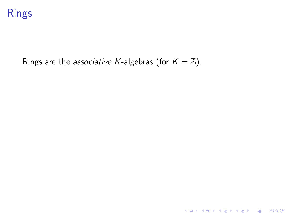

Rings are the associative K-algebras (for  $K = \mathbb{Z}$ ).

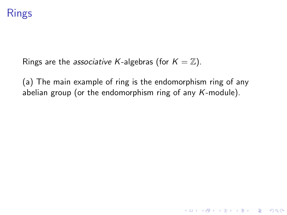# Rings

Rings are the associative K-algebras (for  $K = \mathbb{Z}$ ).

(a) The main example of ring is the endomorphism ring of any abelian group (or the endomorphism ring of any  $K$ -module).

**K ロ ▶ K @ ▶ K 할 X X 할 X → 할 X → 9 Q Q ^**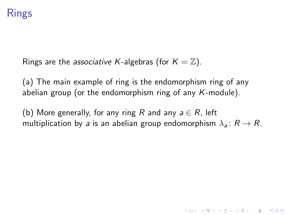# Rings

Rings are the associative K-algebras (for  $K = \mathbb{Z}$ ).

(a) The main example of ring is the endomorphism ring of any abelian group (or the endomorphism ring of any  $K$ -module).

(b) More generally, for any ring R and any  $a \in R$ , left multiplication by a is an abelian group endomorphism  $\lambda_a: R \to R$ .

**KORKAR KERKER EL VOLO**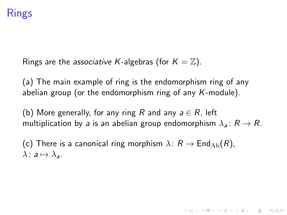# Rings

Rings are the *associative K*-algebras (for  $K = \mathbb{Z}$ ).

(a) The main example of ring is the endomorphism ring of any abelian group (or the endomorphism ring of any  $K$ -module).

(b) More generally, for any ring R and any  $a \in R$ , left multiplication by a is an abelian group endomorphism  $\lambda_a: R \to R$ .

**KORKAR KERKER EL VOLO** 

(c) There is a canonical ring morphism  $\lambda: R \to \text{End}_{Ab}(R)$ ,  $\lambda: a \mapsto \lambda_a$ .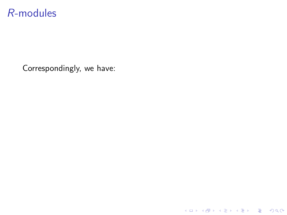Correspondingly, we have:

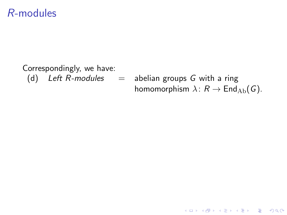#### Correspondingly, we have: (d) Left R-modules  $=$  abelian groups G with a ring homomorphism  $\lambda: R \to \text{End}_{Ab}(G)$ .

K ロ ▶ K @ ▶ K 할 > K 할 > 1 할 > 1 이익어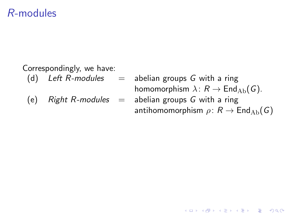Correspondingly, we have:

(d) Left R-modules  $=$  abelian groups G with a ring homomorphism  $\lambda: R \to \text{End}_{\text{Ab}}(G)$ .

(e) Right R-modules = abelian groups G with a ring  
antihomomorphism 
$$
\rho: R \to \text{End}_{Ab}(G)
$$

K ロ > K @ > K 할 > K 할 > 1 할 : ⊙ Q Q^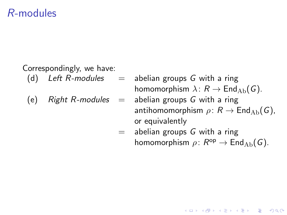Correspondingly, we have:

- (d) Left R-modules  $=$  abelian groups G with a ring homomorphism  $\lambda: R \to \text{End}_{Ab}(G)$ .
	- $=$  abelian groups G with a ring antihomomorphism  $\rho: R \to \text{End}_{Ab}(G)$ , or equivalently

**KORKA SERKER ORA** 

 $=$  abelian groups G with a ring homomorphism  $\rho: R^{\mathsf{op}} \to \mathsf{End}_{\mathrm{Ab}}(G)$ .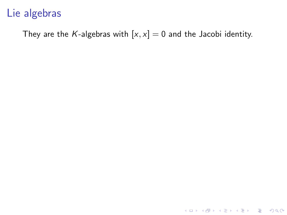They are the K-algebras with  $[x, x] = 0$  and the Jacobi identity.

**K ロ ▶ K 御 ▶ K 할 ▶ K 할 ▶ 이 할 → 이익단**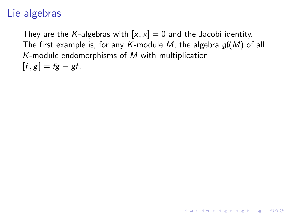They are the K-algebras with  $[x, x] = 0$  and the Jacobi identity. The first example is, for any K-module M, the algebra  $\mathfrak{gl}(M)$  of all K-module endomorphisms of  $M$  with multiplication  $[f, g] = fg - gf.$ 

**K ロ ▶ K @ ▶ K 할 X X 할 X → 할 X → 9 Q Q ^**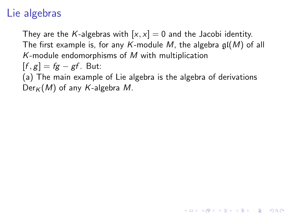They are the K-algebras with  $[x, x] = 0$  and the Jacobi identity. The first example is, for any K-module M, the algebra  $\mathfrak{gl}(M)$  of all K-module endomorphisms of  $M$  with multiplication  $[f, g] = fg - gf$ . But:

(a) The main example of Lie algebra is the algebra of derivations  $Der_K(M)$  of any K-algebra M.

4 D > 4 P + 4 B + 4 B + B + 9 Q O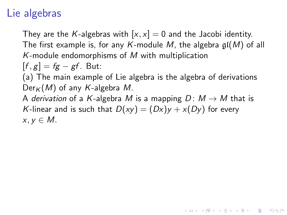They are the K-algebras with  $[x, x] = 0$  and the Jacobi identity. The first example is, for any K-module M, the algebra  $\mathfrak{gl}(M)$  of all K-module endomorphisms of  $M$  with multiplication  $[f, g] = fg - gf$ . But:

(a) The main example of Lie algebra is the algebra of derivations  $Der_K(M)$  of any K-algebra M.

A derivation of a K-algebra M is a mapping  $D: M \rightarrow M$  that is K-linear and is such that  $D(xy) = (Dx)y + x(Dy)$  for every  $x, y \in M$ .

**KORKAR KERKER EL VOLO**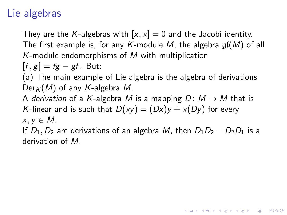They are the K-algebras with  $[x, x] = 0$  and the Jacobi identity. The first example is, for any K-module M, the algebra  $\mathfrak{gl}(M)$  of all K-module endomorphisms of  $M$  with multiplication

 $[f, g] = fg - gf$ . But:

(a) The main example of Lie algebra is the algebra of derivations  $Der_K(M)$  of any K-algebra M.

A derivation of a K-algebra M is a mapping  $D: M \rightarrow M$  that is K-linear and is such that  $D(xy) = (Dx)y + x(Dy)$  for every  $x, y \in M$ .

If  $D_1, D_2$  are derivations of an algebra M, then  $D_1D_2 - D_2D_1$  is a derivation of M.

**KORKAR KERKER EL VOLO**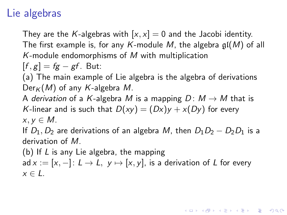They are the K-algebras with  $[x, x] = 0$  and the Jacobi identity. The first example is, for any K-module M, the algebra  $\mathfrak{gl}(M)$  of all K-module endomorphisms of  $M$  with multiplication

 $[f, g] = fg - gf$ . But:

(a) The main example of Lie algebra is the algebra of derivations  $Der_K(M)$  of any K-algebra M.

A derivation of a K-algebra M is a mapping  $D: M \rightarrow M$  that is K-linear and is such that  $D(xy) = (Dx)y + x(Dy)$  for every  $x, y \in M$ .

If  $D_1, D_2$  are derivations of an algebra M, then  $D_1D_2 - D_2D_1$  is a derivation of M.

(b) If L is any Lie algebra, the mapping ad  $x := [x, -]: L \to L$ ,  $y \mapsto [x, y]$ , is a derivation of L for every  $x \in L$ .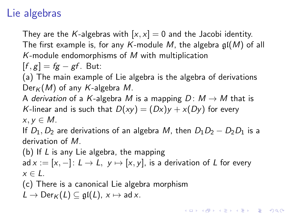They are the K-algebras with  $[x, x] = 0$  and the Jacobi identity. The first example is, for any K-module M, the algebra  $\mathfrak{gl}(M)$  of all  $K$ -module endomorphisms of  $M$  with multiplication

 $[f, g] = fg - gf$ . But:

(a) The main example of Lie algebra is the algebra of derivations  $Der_K(M)$  of any K-algebra M.

A derivation of a K-algebra M is a mapping  $D: M \rightarrow M$  that is K-linear and is such that  $D(xy) = (Dx)y + x(Dy)$  for every  $x, y \in M$ .

If  $D_1, D_2$  are derivations of an algebra M, then  $D_1D_2 - D_2D_1$  is a derivation of M.

(b) If L is any Lie algebra, the mapping ad  $x := [x, -]: L \to L$ ,  $y \mapsto [x, y]$ , is a derivation of L for every  $x \in L$ .

(c) There is a canonical Lie algebra morphism  $L \to \text{Der}_K(L) \subseteq \mathfrak{gl}(L), x \mapsto \text{ad }x.$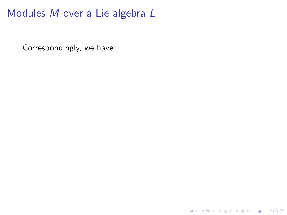Correspondingly, we have: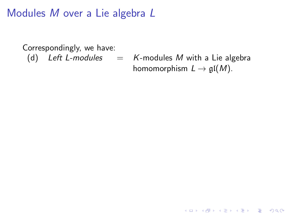Correspondingly, we have: (d) Left L-modules  $=$  K-modules M with a Lie algebra homomorphism  $L \to \mathfrak{gl}(M)$ .

K ロ ▶ K @ ▶ K 할 > K 할 > 1 할 > 1 이익어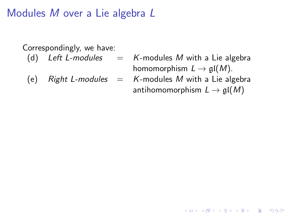Correspondingly, we have:

- (d) Left L-modules  $=$  K-modules M with a Lie algebra homomorphism  $L \to \mathfrak{gl}(M)$ .
	- $=$  K-modules M with a Lie algebra antihomomorphism  $L \to \mathfrak{gl}(M)$

**KORKA SERKER ORA**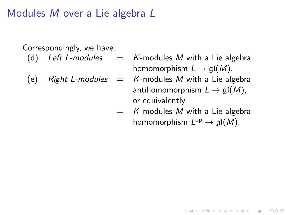Correspondingly, we have:

- (d) Left L-modules  $=$  K-modules M with a Lie algebra homomorphism  $L \to \mathfrak{gl}(M)$ .
	- $=$  K-modules M with a Lie algebra antihomomorphism  $L \to \mathfrak{gl}(M)$ , or equivalently
	- $=$  K-modules M with a Lie algebra homomorphism  $L^{\text{op}} \to \mathfrak{gl}(M)$ .

**KORK ERKER ADE YOUR**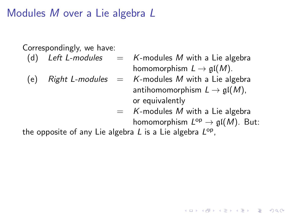Correspondingly, we have:

- (d) Left L-modules  $=$  K-modules M with a Lie algebra homomorphism  $L \to \mathfrak{gl}(M)$ .
	- $=$  K-modules M with a Lie algebra antihomomorphism  $L \to \mathfrak{gl}(M)$ , or equivalently
	- $=$  K-modules M with a Lie algebra

homomorphism  $L^{\text{op}} \to \mathfrak{gl}(M)$ . But:

**KORK ERKER ADE YOUR** 

the opposite of any Lie algebra L is a Lie algebra  $L^{\mathsf{op}},$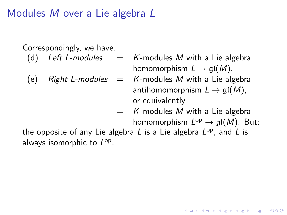Correspondingly, we have:

- 
- 
- (d) Left L-modules  $=$  K-modules M with a Lie algebra homomorphism  $L \to \mathfrak{gl}(M)$ .
- (e) Right L-modules  $=$  K-modules M with a Lie algebra antihomomorphism  $L \to \mathfrak{gl}(M)$ , or equivalently
	- $=$  K-modules M with a Lie algebra

homomorphism  $L^{\text{op}} \to \mathfrak{gl}(M)$ . But:

**KORK ERKER ADE YOUR** 

the opposite of any Lie algebra  $L$  is a Lie algebra  $L^{\mathsf{op}}$ , and  $L$  is always isomorphic to  $L^{op}$ ,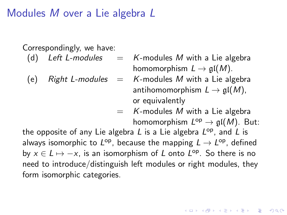Correspondingly, we have:

- 
- 
- (d) Left L-modules  $=$  K-modules M with a Lie algebra homomorphism  $L \to \mathfrak{gl}(M)$ .
- (e) Right L-modules  $=$  K-modules M with a Lie algebra antihomomorphism  $L \to \mathfrak{gl}(M)$ , or equivalently
	- $=$  K-modules M with a Lie algebra

homomorphism  $L^{\text{op}} \to \mathfrak{gl}(M)$ . But:

the opposite of any Lie algebra  $L$  is a Lie algebra  $L^{\mathsf{op}}$ , and  $L$  is always isomorphic to  $L^{\mathsf{op}}$ , because the mapping  $L \to L^{\mathsf{op}}$ , defined by  $x \in L \mapsto -x$ , is an isomorphism of L onto  $L^{\rm op}$ . So there is no need to introduce/distinguish left modules or right modules, they form isomorphic categories.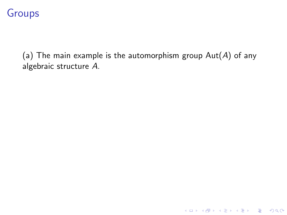(a) The main example is the automorphism group  $Aut(A)$  of any algebraic structure A.

イロト イ御 トイミト イミト ニミー りんぴ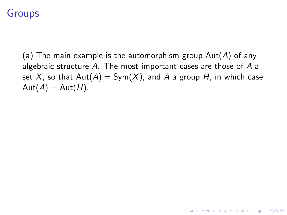(a) The main example is the automorphism group  $Aut(A)$  of any algebraic structure A. The most important cases are those of A a set X, so that  $Aut(A) = Sym(X)$ , and A a group H, in which case  $Aut(A) = Aut(H)$ .

**KORKAR KERKER E VOOR**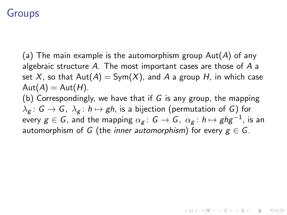(a) The main example is the automorphism group  $Aut(A)$  of any algebraic structure A. The most important cases are those of A a set X, so that  $Aut(A) = Sym(X)$ , and A a group H, in which case  $Aut(A) = Aut(H)$ . (b) Correspondingly, we have that if G is any group, the mapping  $\lambda_g$ :  $G \to G$ ,  $\lambda_g$ :  $h \mapsto gh$ , is a bijection (permutation of G) for every  $g\in\mathcal{G}$ , and the mapping  $\alpha_g\colon\mathcal{G}\to\mathcal{G},\ \alpha_g\colon h\mapsto ghg^{-1},$  is an automorphism of G (the inner automorphism) for every  $g \in G$ .

**KORKAR KERKER EL VOLO**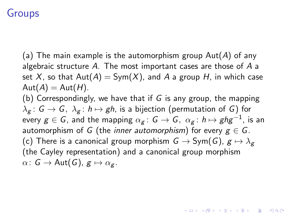(a) The main example is the automorphism group  $Aut(A)$  of any algebraic structure A. The most important cases are those of A a set X, so that  $Aut(A) = Sym(X)$ , and A a group H, in which case  $Aut(A) = Aut(H)$ . (b) Correspondingly, we have that if G is any group, the mapping  $\lambda_g$ :  $G \to G$ ,  $\lambda_g$ :  $h \mapsto gh$ , is a bijection (permutation of G) for every  $g\in\mathcal{G}$ , and the mapping  $\alpha_g\colon\mathcal{G}\to\mathcal{G},\ \alpha_g\colon h\mapsto ghg^{-1},$  is an automorphism of G (the inner automorphism) for every  $g \in G$ . (c) There is a canonical group morphism  $G \to Sym(G)$ ,  $g \mapsto \lambda_g$ (the Cayley representation) and a canonical group morphism  $\alpha: G \to \text{Aut}(G), g \mapsto \alpha_g$ .

**KORKAR KERKER EL VOLO**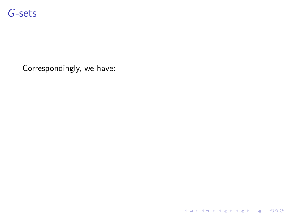

Correspondingly, we have:

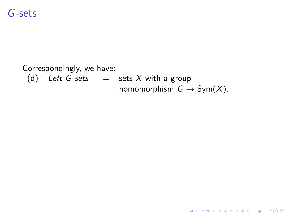### G-sets

#### Correspondingly, we have: (d) Left G-sets  $=$  sets X with a group homomorphism  $G \to Sym(X)$ .

K ロ ▶ K @ ▶ K 할 > K 할 > 1 할 > 1 이익어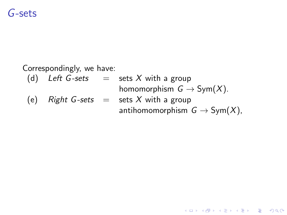## G-sets

#### Correspondingly, we have:

- (d) Left G-sets  $=$  sets X with a group homomorphism  $G \to Sym(X)$ .
- (e) Right G-sets  $=$  sets X with a group antihomomorphism  $G \to Sym(X)$ ,

**KORK ERKER ADE YOUR**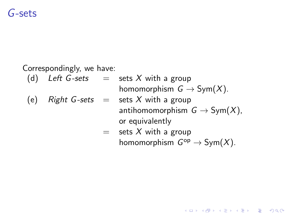## G-sets

Correspondingly, we have:

(d) Left G-sets  $=$  sets X with a group homomorphism  $G \to Sym(X)$ .

(e) Right G-sets = sets X with a group  
antihomomorphism 
$$
G \rightarrow Sym(X)
$$
,  
or equivalently

= sets X with a group  
homomorphism 
$$
G^{op} \to Sym(X)
$$
.

K ロ ▶ K @ ▶ K 할 > K 할 > 1 할 > 1 이익어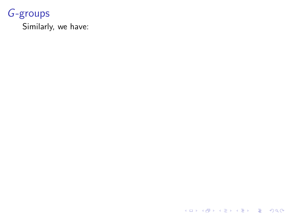Similarly, we have:

K ロ ▶ K @ ▶ K 할 ▶ K 할 ▶ | 할 | ⊙Q @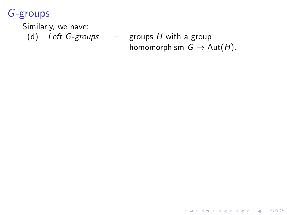Similarly, we have: (d) Left G-groups  $=$  groups H with a group homomorphism  $G \to \text{Aut}(H)$ .

K ロ ▶ K @ ▶ K 할 > K 할 > 1 할 > 1 이익어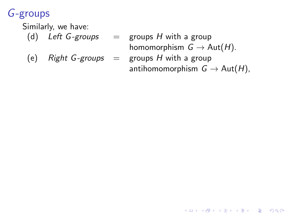Similarly, we have:

- 
- (d) Left G-groups  $=$  groups H with a group homomorphism  $G \to \text{Aut}(H)$ .
- 
- (e) Right G-groups  $=$  groups H with a group antihomomorphism  $G \to \text{Aut}(H)$ ,

**KORK STRAIN A BAR SHOP**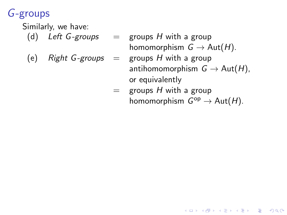Similarly, we have:

- 
- 
- (d) Left G-groups  $=$  groups H with a group homomorphism  $G \to \text{Aut}(H)$ .
- (e) Right G-groups  $=$  groups H with a group antihomomorphism  $G \to \text{Aut}(H)$ , or equivalently
	- $=$  groups H with a group homomorphism  $G^{op} \to Aut(H)$ .

**KORK STRAIN A BAR SHOP**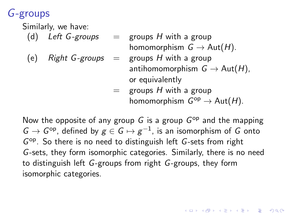Similarly, we have:

- 
- (d) Left G-groups  $=$  groups H with a group homomorphism  $G \to \text{Aut}(H)$ .
- 
- (e) Right G-groups  $=$  groups H with a group antihomomorphism  $G \to \text{Aut}(H)$ , or equivalently

**KORKAR KERKER E VOOR** 

 $=$  groups H with a group homomorphism  $G^{op} \to Aut(H)$ .

Now the opposite of any group  $G$  is a group  $G^{op}$  and the mapping  $G \rightarrow G^\mathsf{op}$ , defined by  $g \in G \mapsto g^{-1}$ , is an isomorphism of  $G$  onto G<sup>op</sup>. So there is no need to distinguish left G-sets from right G-sets, they form isomorphic categories. Similarly, there is no need to distinguish left G-groups from right G-groups, they form isomorphic categories.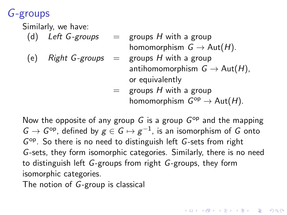Similarly, we have:

- 
- (d) Left G-groups  $=$  groups H with a group homomorphism  $G \to \text{Aut}(H)$ .
- 
- (e) Right G-groups  $=$  groups H with a group antihomomorphism  $G \to \text{Aut}(H)$ , or equivalently

**KORKAR KERKER E VOOR** 

 $=$  groups H with a group homomorphism  $G^{op} \to Aut(H)$ .

Now the opposite of any group  $G$  is a group  $G^{op}$  and the mapping  $G \rightarrow G^\mathsf{op}$ , defined by  $g \in G \mapsto g^{-1}$ , is an isomorphism of  $G$  onto G<sup>op</sup>. So there is no need to distinguish left G-sets from right G-sets, they form isomorphic categories. Similarly, there is no need to distinguish left G-groups from right G-groups, they form isomorphic categories.

The notion of G-group is classical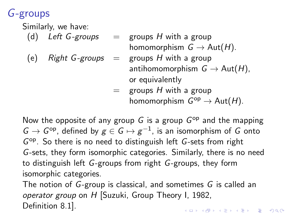Similarly, we have:

- 
- (d) Left G-groups  $=$  groups H with a group homomorphism  $G \to \text{Aut}(H)$ .
- 
- (e) Right G-groups  $=$  groups H with a group antihomomorphism  $G \to \text{Aut}(H)$ , or equivalently
	- $=$  groups H with a group homomorphism  $G^{op} \to Aut(H)$ .

Now the opposite of any group  $G$  is a group  $G^{op}$  and the mapping  $G \rightarrow G^\mathsf{op}$ , defined by  $g \in G \mapsto g^{-1}$ , is an isomorphism of  $G$  onto G<sup>op</sup>. So there is no need to distinguish left G-sets from right G-sets, they form isomorphic categories. Similarly, there is no need to distinguish left G-groups from right G-groups, they form isomorphic categories.

The notion of G-group is classical, and sometimes G is called an operator group on H [Suzuki, Group Theory I, 1982, Definition 8.1].**KORKAR KERKER E VOOR**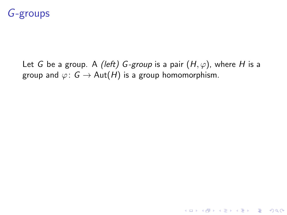Let G be a group. A (left) G-group is a pair  $(H, \varphi)$ , where H is a group and  $\varphi: G \to \text{Aut}(H)$  is a group homomorphism.

**KORK STRATER STRAKER**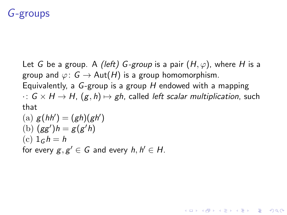Let G be a group. A (left) G-group is a pair  $(H, \varphi)$ , where H is a group and  $\varphi: G \to \text{Aut}(H)$  is a group homomorphism. Equivalently, a  $G$ -group is a group  $H$  endowed with a mapping  $\cdot: G \times H \rightarrow H$ ,  $(g, h) \mapsto gh$ , called left scalar multiplication, such that  $\mathbf{r}$  (given by  $\mathbf{r}$ ) = (given by  $\mathbf{r}$ )

**KORK ERKER ADE YOUR** 

\n- (a) 
$$
g(hh') = (gh)(gh')
$$
\n- (b)  $(gg')h = g(g'h)$
\n- (c)  $1_Gh = h$
\n- for every  $g, g' \in G$  and every  $h, h' \in H$ .
\n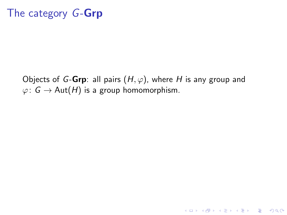Objects of G-Grp: all pairs  $(H, \varphi)$ , where H is any group and  $\varphi: G \to \text{Aut}(H)$  is a group homomorphism.

K ロ ▶ K @ ▶ K 할 > K 할 > 1 할 > 1 이익어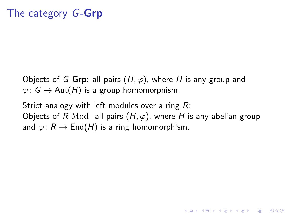Objects of G-Grp: all pairs  $(H, \varphi)$ , where H is any group and  $\varphi: G \to \text{Aut}(H)$  is a group homomorphism.

Strict analogy with left modules over a ring  $R$ : Objects of R-Mod: all pairs  $(H, \varphi)$ , where H is any abelian group and  $\varphi: R \to \text{End}(H)$  is a ring homomorphism.

**KORKAR KERKER EL VOLO**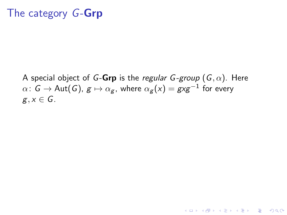A special object of G-Grp is the regular G-group  $(G, \alpha)$ . Here  $\alpha\colon\thinspace \mathsf{G}\to\operatorname{\mathsf{Aut}}(\mathsf{G})$ ,  $\mathsf{g}\mapsto\alpha_{\mathsf{g}},$  where  $\alpha_{\mathsf{g}}(\mathsf{x})=\mathsf{g}\mathsf{x}\mathsf{g}^{-1}$  for every  $g, x \in G$ .

**KORK ERKER ER AGA**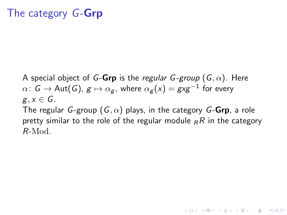A special object of G-Grp is the regular G-group  $(G, \alpha)$ . Here  $\alpha\colon\thinspace \mathsf{G}\to\operatorname{\mathsf{Aut}}(\mathsf{G})$ ,  $\mathsf{g}\mapsto\alpha_{\mathsf{g}},$  where  $\alpha_{\mathsf{g}}(\mathsf{x})=\mathsf{g}\mathsf{x}\mathsf{g}^{-1}$  for every  $g, x \in G$ .

The regular G-group  $(G, \alpha)$  plays, in the category G-Grp, a role pretty similar to the role of the regular module  $_R R$  in the category R-Mod.

**KORK ERKER ADE YOUR**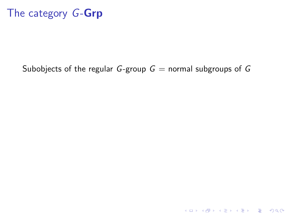#### Subobjects of the regular G-group  $G =$  normal subgroups of G

K ロ ▶ K @ ▶ K 할 ▶ K 할 ▶ | 할 | ⊙Q @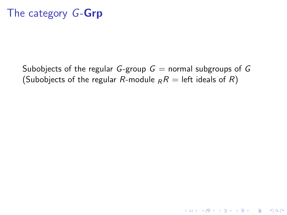Subobjects of the regular G-group  $G =$  normal subgroups of G (Subobjects of the regular R-module  $_RR =$  left ideals of R)

**KORK ERKER ADE YOUR**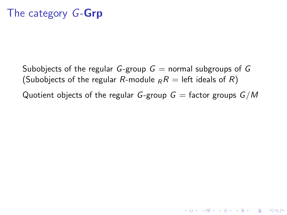Subobjects of the regular G-group  $G =$  normal subgroups of G (Subobjects of the regular R-module  $_R R =$  left ideals of R) Quotient objects of the regular G-group  $G =$  factor groups  $G/M$ 

**KORKA SERKER ORA**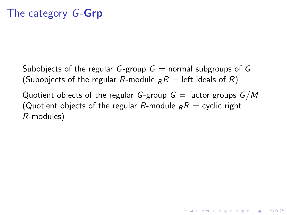Subobjects of the regular G-group  $G =$  normal subgroups of G (Subobjects of the regular R-module  $_R R =$  left ideals of R)

Quotient objects of the regular G-group  $G =$  factor groups  $G/M$ (Quotient objects of the regular R-module  $_R R =$  cyclic right R-modules)

**KORKA SERKER ORA**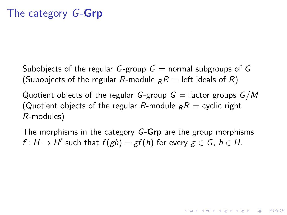Subobjects of the regular G-group  $G =$  normal subgroups of G (Subobjects of the regular R-module  $_R R =$  left ideals of R)

Quotient objects of the regular G-group  $G =$  factor groups  $G/M$ (Quotient objects of the regular R-module  $_R R =$  cyclic right R-modules)

The morphisms in the category G-Grp are the group morphisms  $f: H \to H'$  such that  $f(gh) = gf(h)$  for every  $g \in G$ ,  $h \in H$ .

**KORK ERKER ADE YOUR**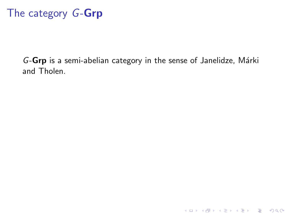G-Grp is a semi-abelian category in the sense of Janelidze, Márki and Tholen.

K ロ ▶ K @ ▶ K 할 ▶ K 할 ▶ | 할 | ⊙Q @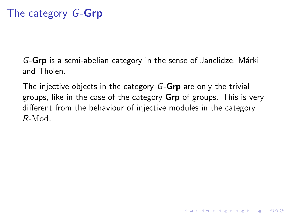$G$ -Grp is a semi-abelian category in the sense of Janelidze, Márki and Tholen.

The injective objects in the category G-Grp are only the trivial groups, like in the case of the category **Grp** of groups. This is very different from the behaviour of injective modules in the category R-Mod.

**KORKA SERKER ORA**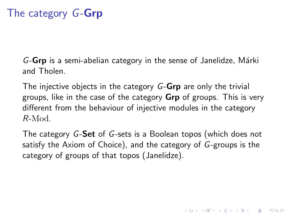G-Grp is a semi-abelian category in the sense of Janelidze, Márki and Tholen.

The injective objects in the category G-Grp are only the trivial groups, like in the case of the category **Grp** of groups. This is very different from the behaviour of injective modules in the category R-Mod.

The category G-Set of G-sets is a Boolean topos (which does not satisfy the Axiom of Choice), and the category of G-groups is the category of groups of that topos (Janelidze).

4 D > 4 P + 4 B + 4 B + B + 9 Q O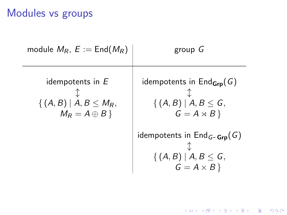# Modules vs groups

| module $M_R$ , $E :=$ End( $M_R$ )                                    | group G                                                                                                     |
|-----------------------------------------------------------------------|-------------------------------------------------------------------------------------------------------------|
| idempotents in E<br>$\{(A, B)   A, B \leq M_R,$<br>$M_R = A \oplus B$ | idempotents in $\mathsf{End}_{\mathsf{Grp}}(G)$<br>$\{(A, B)   A, B \leq G,$<br>$G = A \rtimes B$           |
|                                                                       | idempotents in $\textsf{End}_{G\text{-}\textsf{Grp}}(G)$<br>{ $(A, B)   A, B \le G$ ,<br>$G = A \times B$ } |

K ロ ▶ K @ ▶ K 할 ▶ K 할 ▶ | 할 | 2000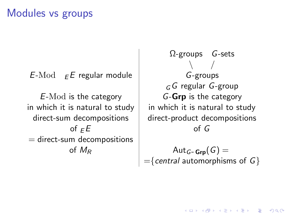## Modules vs groups

 $E\text{-Mod}$   $E\in E$  regular module  $\parallel$  G-groups

 $E\text{-Mod}$  is the category  $G\text{-}\mathbf{G}\mathbf{r}$  is the category in which it is natural to study  $\vert$  in which it is natural to study of  $E$  of G  $=$  direct-sum decompositions

 $\Omega$ -groups  $G$ -sets  $\setminus$  $G$  regular  $G$ -group  $direct-sum decompositions$  direct-product decompositions

> of  $M_R$   $\qquad \qquad \vert$   $\qquad \qquad$   $\qquad$   $\qquad$   $\qquad$   $\qquad$   $\qquad$   $\qquad$   $\qquad$   $\qquad$   $\qquad$   $\qquad$   $\qquad$   $\qquad$   $\qquad$   $\qquad$   $\qquad$   $\qquad$   $\qquad$   $\qquad$   $\qquad$   $\qquad$   $\qquad$   $\qquad$   $\qquad$   $\qquad$   $\qquad$   $\qquad$   $\qquad$   $\qquad$   $\qquad$   $\qquad$   $\qquad$   $\qquad$   $=\{central$  automorphisms of  $G\}$

> > $\mathbf{A} \equiv \mathbf{A} + \mathbf{B} + \mathbf{A} + \mathbf{B} + \mathbf{A} + \mathbf{B} + \mathbf{A} + \mathbf{B} + \mathbf{A} + \mathbf{B} + \mathbf{A} + \mathbf{B} + \mathbf{A} + \mathbf{B} + \mathbf{A} + \mathbf{B} + \mathbf{A} + \mathbf{B} + \mathbf{A} + \mathbf{B} + \mathbf{A} + \mathbf{B} + \mathbf{A} + \mathbf{B} + \mathbf{A} + \mathbf{B} + \mathbf{A} + \mathbf{B} + \mathbf{A} + \mathbf{B} + \math$  $QQ$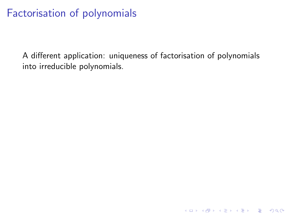A different application: uniqueness of factorisation of polynomials into irreducible polynomials.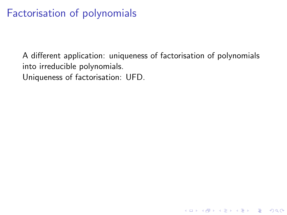A different application: uniqueness of factorisation of polynomials into irreducible polynomials. Uniqueness of factorisation: UFD.

K ロ ▶ K @ ▶ K 할 > K 할 > 1 할 > 1 이익어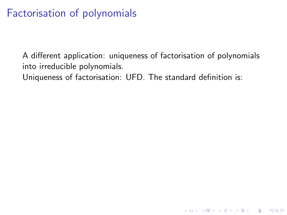A different application: uniqueness of factorisation of polynomials into irreducible polynomials.

**K ロ ▶ K @ ▶ K 할 X X 할 X → 할 X → 9 Q Q ^** 

Uniqueness of factorisation: UFD. The standard definition is: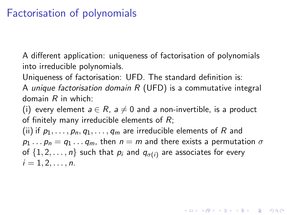A different application: uniqueness of factorisation of polynomials into irreducible polynomials.

Uniqueness of factorisation: UFD. The standard definition is:

A unique factorisation domain  $R$  (UFD) is a commutative integral domain  $R$  in which:

(i) every element  $a \in R$ ,  $a \neq 0$  and a non-invertible, is a product of finitely many irreducible elements of  $R$ ;

(ii) if  $p_1, \ldots, p_n, q_1, \ldots, q_m$  are irreducible elements of R and  $p_1 \ldots p_n = q_1 \ldots q_m$ , then  $n = m$  and there exists a permutation  $\sigma$ of  $\{1, 2, \ldots, n\}$  such that  $p_i$  and  $q_{\sigma(i)}$  are associates for every  $i = 1, 2, \ldots, n$ .

**KORKAR KERKER EL VOLO**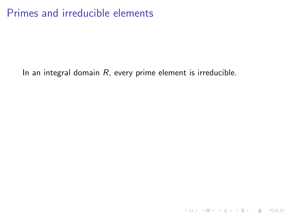## Primes and irreducible elements

In an integral domain  $R$ , every prime element is irreducible.

K ロ X K (P) X (E) X (E) X (E) X (P) Q (P)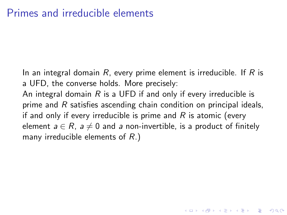In an integral domain R, every prime element is irreducible. If R is a UFD, the converse holds. More precisely: An integral domain  $R$  is a UFD if and only if every irreducible is prime and R satisfies ascending chain condition on principal ideals, if and only if every irreducible is prime and  $R$  is atomic (every element  $a \in R$ ,  $a \neq 0$  and a non-invertible, is a product of finitely many irreducible elements of R.)

**KORKAR KERKER EL VOLO**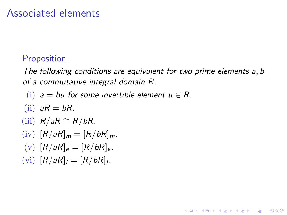### Associated elements

#### **Proposition**

The following conditions are equivalent for two prime elements a, b of a commutative integral domain R:

**KORK ERKER ADE YOUR** 

- (i)  $a = bu$  for some invertible element  $u \in R$ .
- (ii)  $aR = bR$ .
- (iii)  $R/aR \cong R/bR$ .
- $(iv)$   $[R/aR]_m = [R/bR]_m$ .
- (v)  $[R/aR]_e = [R/bR]_e$ .
- (vi)  $[R/aR]_l = [R/bR]_l$ .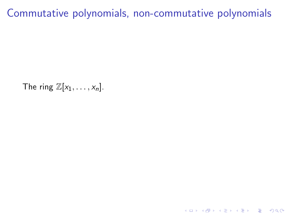# Commutative polynomials, non-commutative polynomials

The ring  $\mathbb{Z}[x_1, \ldots, x_n]$ .

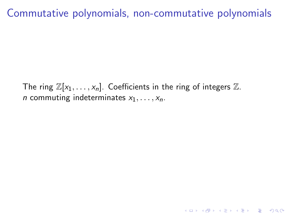# Commutative polynomials, non-commutative polynomials

The ring  $\mathbb{Z}[x_1, \ldots, x_n]$ . Coefficients in the ring of integers  $\mathbb{Z}$ . *n* commuting indeterminates  $x_1, \ldots, x_n$ .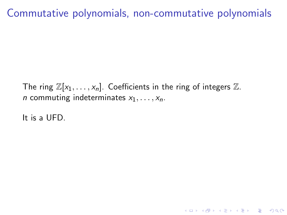# Commutative polynomials, non-commutative polynomials

The ring  $\mathbb{Z}[x_1, \ldots, x_n]$ . Coefficients in the ring of integers  $\mathbb{Z}$ . *n* commuting indeterminates  $x_1, \ldots, x_n$ .

**K ロ ▶ K @ ▶ K 할 X X 할 X → 할 X → 9 Q Q ^** 

It is a UFD.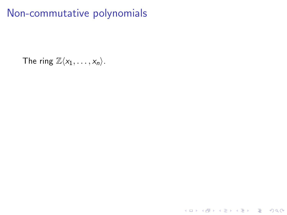The ring  $\mathbb{Z}\langle x_1, \ldots, x_n \rangle$ .

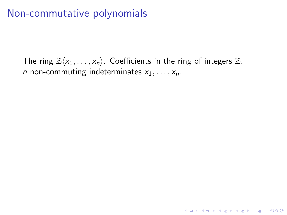The ring  $\mathbb{Z}\langle x_1, \ldots, x_n \rangle$ . Coefficients in the ring of integers  $\mathbb{Z}$ . *n* non-commuting indeterminates  $x_1, \ldots, x_n$ .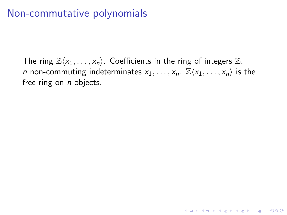The ring  $\mathbb{Z}\langle x_1, \ldots, x_n \rangle$ . Coefficients in the ring of integers  $\mathbb{Z}$ . *n* non-commuting indeterminates  $x_1, \ldots, x_n$ .  $\mathbb{Z}\langle x_1, \ldots, x_n \rangle$  is the free ring on  $n$  objects.

**K ロ ▶ K @ ▶ K 할 X X 할 X → 할 X → 9 Q Q ^**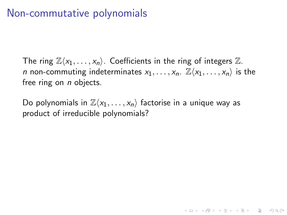The ring  $\mathbb{Z}\langle x_1, \ldots, x_n \rangle$ . Coefficients in the ring of integers  $\mathbb{Z}$ . *n* non-commuting indeterminates  $x_1, \ldots, x_n$ .  $\mathbb{Z}\langle x_1, \ldots, x_n \rangle$  is the free ring on  $n$  objects.

4 D > 4 P + 4 B + 4 B + B + 9 Q O

Do polynomials in  $\mathbb{Z}\langle x_1, \ldots, x_n \rangle$  factorise in a unique way as product of irreducible polynomials?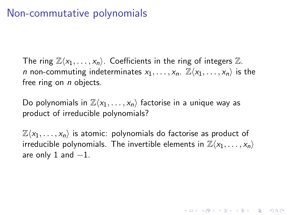The ring  $\mathbb{Z}\langle x_1,\ldots, x_n\rangle$ . Coefficients in the ring of integers  $\mathbb{Z}$ . *n* non-commuting indeterminates  $x_1, \ldots, x_n$ .  $\mathbb{Z}\langle x_1, \ldots, x_n \rangle$  is the free ring on  $n$  objects.

Do polynomials in  $\mathbb{Z}\langle x_1, \ldots, x_n \rangle$  factorise in a unique way as product of irreducible polynomials?

 $\mathbb{Z}\langle x_1, \ldots, x_n \rangle$  is atomic: polynomials do factorise as product of irreducible polynomials. The invertible elements in  $\mathbb{Z}\langle x_1, \ldots, x_n \rangle$ are only 1 and  $-1$ .

**KORKAR KERKER EL VOLO**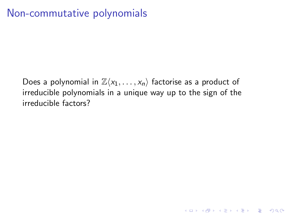Does a polynomial in  $\mathbb{Z}\langle x_1, \ldots, x_n \rangle$  factorise as a product of irreducible polynomials in a unique way up to the sign of the irreducible factors?

**K ロ ▶ K @ ▶ K 할 X X 할 X → 할 X → 9 Q Q ^**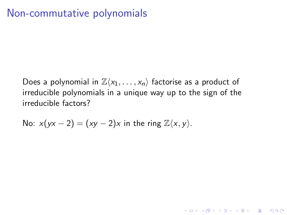Does a polynomial in  $\mathbb{Z}\langle x_1, \ldots, x_n \rangle$  factorise as a product of irreducible polynomials in a unique way up to the sign of the irreducible factors?

**K ロ ▶ K @ ▶ K 할 X X 할 X → 할 X → 9 Q Q ^** 

No: 
$$
x(yx-2) = (xy-2)x
$$
 in the ring  $\mathbb{Z}\langle x, y \rangle$ .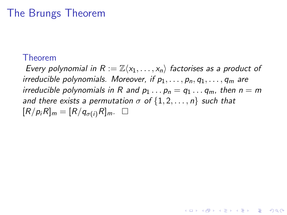## The Brungs Theorem

#### Theorem

Every polynomial in  $R := \mathbb{Z}\langle x_1, \ldots, x_n \rangle$  factorises as a product of irreducible polynomials. Moreover, if  $p_1, \ldots, p_n, q_1, \ldots, q_m$  are irreducible polynomials in R and  $p_1 \ldots p_n = q_1 \ldots q_m$ , then  $n = m$ and there exists a permutation  $\sigma$  of  $\{1, 2, \ldots, n\}$  such that  $[R/p_iR]_m = [R/q_{\sigma(i)}R]_m$ .

**KORK ERKER ADE YOUR**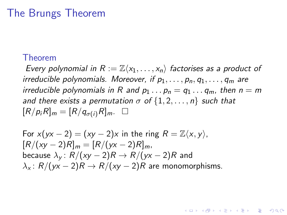#### The Brungs Theorem

#### Theorem

Every polynomial in  $R := \mathbb{Z}\langle x_1, \ldots, x_n \rangle$  factorises as a product of irreducible polynomials. Moreover, if  $p_1, \ldots, p_n, q_1, \ldots, q_m$  are irreducible polynomials in R and  $p_1 \ldots p_n = q_1 \ldots q_m$ , then  $n = m$ and there exists a permutation  $\sigma$  of  $\{1, 2, \ldots, n\}$  such that  $[R/p_iR]_m = [R/q_{\sigma(i)}R]_m$ .

**KORK ERKER ADE YOUR** 

For 
$$
x(yx - 2) = (xy - 2)x
$$
 in the ring  $R = \mathbb{Z}\langle x, y \rangle$ ,  
\n $[R/(xy - 2)R]_m = [R/(yx - 2)R]_m$ ,  
\nbecause  $\lambda_y: R/(xy - 2)R \rightarrow R/(yx - 2)R$  and  
\n $\lambda_x: R/(yx - 2)R \rightarrow R/(xy - 2)R$  are monomorphisms.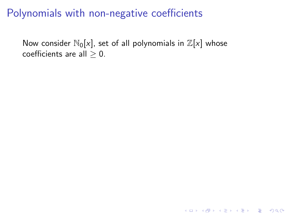Now consider  $\mathbb{N}_0[x]$ , set of all polynomials in  $\mathbb{Z}[x]$  whose coefficients are all  $\geq 0$ .

**K ロ ▶ K @ ▶ K 할 X X 할 X → 할 X → 9 Q Q ^**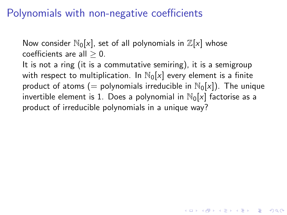Now consider  $\mathbb{N}_0[x]$ , set of all polynomials in  $\mathbb{Z}[x]$  whose coefficients are all  $> 0$ . It is not a ring (it is a commutative semiring), it is a semigroup with respect to multiplication. In  $\mathbb{N}_0[x]$  every element is a finite product of atoms (= polynomials irreducible in  $\mathbb{N}_0[x]$ ). The unique invertible element is 1. Does a polynomial in  $\mathbb{N}_0[x]$  factorise as a product of irreducible polynomials in a unique way?

**KORKAR KERKER EL VOLO**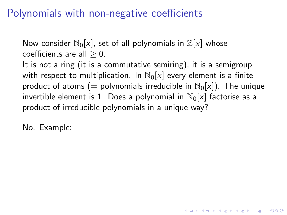Now consider  $\mathbb{N}_0[x]$ , set of all polynomials in  $\mathbb{Z}[x]$  whose coefficients are all  $> 0$ . It is not a ring (it is a commutative semiring), it is a semigroup with respect to multiplication. In  $\mathbb{N}_0[x]$  every element is a finite product of atoms (= polynomials irreducible in  $\mathbb{N}_0[x]$ ). The unique invertible element is 1. Does a polynomial in  $\mathbb{N}_0[x]$  factorise as a product of irreducible polynomials in a unique way?

**KORKAR KERKER EL VOLO** 

No. Example: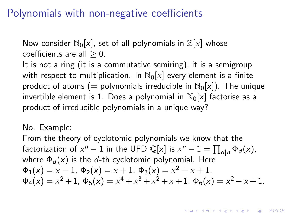Now consider  $\mathbb{N}_0[x]$ , set of all polynomials in  $\mathbb{Z}[x]$  whose coefficients are all  $> 0$ . It is not a ring (it is a commutative semiring), it is a semigroup with respect to multiplication. In  $\mathbb{N}_0[x]$  every element is a finite product of atoms (= polynomials irreducible in  $\mathbb{N}_0[x]$ ). The unique invertible element is 1. Does a polynomial in  $\mathbb{N}_0[x]$  factorise as a product of irreducible polynomials in a unique way?

#### No. Example:

From the theory of cyclotomic polynomials we know that the factorization of  $x^n - 1$  in the UFD  $\mathbb{Q}[x]$  is  $x^n - 1 = \prod_{d|n} \Phi_d(x)$ , where  $\Phi_d(x)$  is the d-th cyclotomic polynomial. Here  $\Phi_1(x) = x - 1$ ,  $\Phi_2(x) = x + 1$ ,  $\Phi_3(x) = x^2 + x + 1$ ,  $\Phi_4(x) = x^2 + 1$ ,  $\Phi_5(x) = x^4 + x^3 + x^2 + x + 1$ ,  $\Phi_6(x) = x^2 - x + 1$ .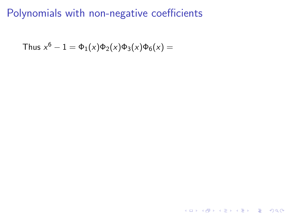## Polynomials with non-negative coefficients

K ロ ▶ K @ ▶ K 할 ▶ K 할 ▶ ... 할 ... 9 Q Q ·

Thus 
$$
x^6 - 1 = \Phi_1(x)\Phi_2(x)\Phi_3(x)\Phi_6(x) =
$$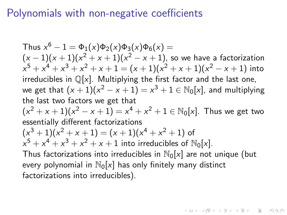## Polynomials with non-negative coefficients

Thus  $x^6 - 1 = \Phi_1(x)\Phi_2(x)\Phi_3(x)\Phi_6(x) =$  $(x-1)(x+1)(x^2+x+1)(x^2-x+1)$ , so we have a factorization  $x^5 + x^4 + x^3 + x^2 + x + 1 = (x + 1)(x^2 + x + 1)(x^2 - x + 1)$  into irreducibles in  $\mathbb{Q}[x]$ . Multiplying the first factor and the last one, we get that  $(x+1)(x^2-x+1)=x^3+1\in\mathbb{N}_0[x]$ , and multiplying the last two factors we get that  $(x^{2} + x + 1)(x^{2} - x + 1) = x^{4} + x^{2} + 1 \in \mathbb{N}_{0}[x]$ . Thus we get two essentially different factorizations  $(x^3+1)(x^2+x+1) = (x+1)(x^4+x^2+1)$  of  $x^5 + x^4 + x^3 + x^2 + x + 1$  into irreducibles of  $\mathbb{N}_0[x]$ . Thus factorizations into irreducibles in  $\mathbb{N}_0[x]$  are not unique (but every polynomial in  $\mathbb{N}_0[x]$  has only finitely many distinct factorizations into irreducibles).

**KORKAR KERKER EL VOLO**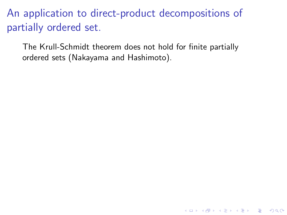The Krull-Schmidt theorem does not hold for finite partially ordered sets (Nakayama and Hashimoto).

K ロ ▶ K @ ▶ K 할 > K 할 > 1 할 > 1 이익어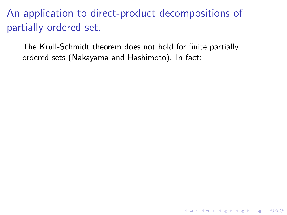The Krull-Schmidt theorem does not hold for finite partially ordered sets (Nakayama and Hashimoto). In fact:

K ロ ▶ K @ ▶ K 할 > K 할 > 1 할 > 1 이익어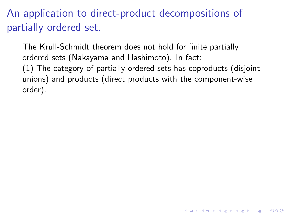The Krull-Schmidt theorem does not hold for finite partially ordered sets (Nakayama and Hashimoto). In fact: (1) The category of partially ordered sets has coproducts (disjoint unions) and products (direct products with the component-wise order).

4 D > 4 P + 4 B + 4 B + B + 9 Q O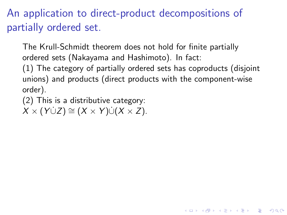The Krull-Schmidt theorem does not hold for finite partially ordered sets (Nakayama and Hashimoto). In fact:

(1) The category of partially ordered sets has coproducts (disjoint unions) and products (direct products with the component-wise order).

**K ロ ▶ K @ ▶ K 할 X X 할 X 및 할 X X Q Q O** 

(2) This is a distributive category:

 $X \times (Y \cup Z) \cong (X \times Y) \cup (X \times Z).$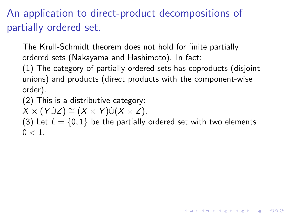The Krull-Schmidt theorem does not hold for finite partially ordered sets (Nakayama and Hashimoto). In fact:

(1) The category of partially ordered sets has coproducts (disjoint unions) and products (direct products with the component-wise order).

(2) This is a distributive category:

 $X \times (Y \cup Z) \cong (X \times Y) \cup (X \times Z).$ 

(3) Let  $L = \{0, 1\}$  be the partially ordered set with two elements  $0 < 1$ 

**KORKAR KERKER EL VOLO**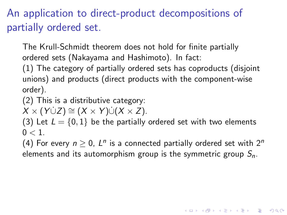The Krull-Schmidt theorem does not hold for finite partially ordered sets (Nakayama and Hashimoto). In fact:

(1) The category of partially ordered sets has coproducts (disjoint unions) and products (direct products with the component-wise order).

(2) This is a distributive category:

 $X \times (Y \cup Z) \cong (X \times Y) \cup (X \times Z).$ 

(3) Let  $L = \{0, 1\}$  be the partially ordered set with two elements  $0 < 1$ 

(4) For every  $n \geq 0$ ,  $L^n$  is a connected partially ordered set with  $2^n$ elements and its automorphism group is the symmetric group  $S_n$ .

**KORKAR KERKER EL VOLO**